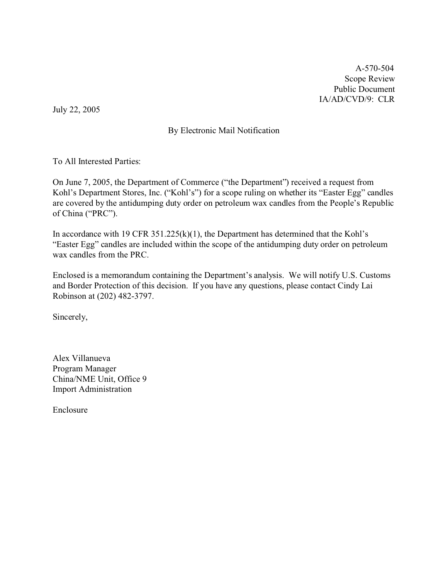A-570-504 Scope Review Public Document IA/AD/CVD/9: CLR

July 22, 2005

### By Electronic Mail Notification

To All Interested Parties:

On June 7, 2005, the Department of Commerce ("the Department") received a request from Kohl's Department Stores, Inc. ("Kohl's") for a scope ruling on whether its "Easter Egg" candles are covered by the antidumping duty order on petroleum wax candles from the People's Republic of China ("PRC").

In accordance with 19 CFR  $351.225(k)(1)$ , the Department has determined that the Kohl's "Easter Egg" candles are included within the scope of the antidumping duty order on petroleum wax candles from the PRC.

Enclosed is a memorandum containing the Department's analysis. We will notify U.S. Customs and Border Protection of this decision. If you have any questions, please contact Cindy Lai Robinson at (202) 482-3797.

Sincerely,

Alex Villanueva Program Manager China/NME Unit, Office 9 Import Administration

Enclosure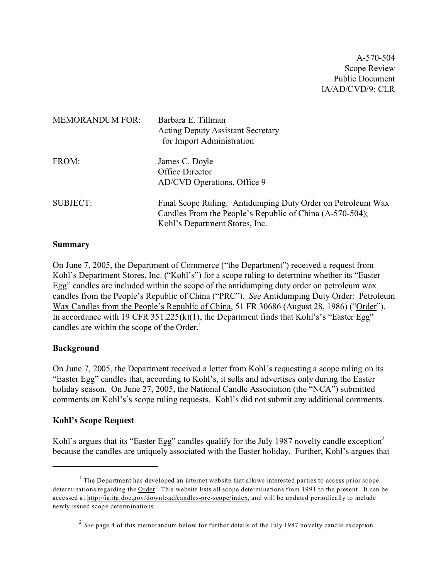A-570-504 Scope Review Public Document IA/AD/CVD/9: CLR

| <b>MEMORANDUM FOR:</b> | Barbara E. Tillman<br><b>Acting Deputy Assistant Secretary</b><br>for Import Administration                                                               |
|------------------------|-----------------------------------------------------------------------------------------------------------------------------------------------------------|
| FROM:                  | James C. Doyle<br>Office Director<br>AD/CVD Operations, Office 9                                                                                          |
| <b>SUBJECT:</b>        | Final Scope Ruling: Antidumping Duty Order on Petroleum Wax<br>Candles From the People's Republic of China (A-570-504);<br>Kohl's Department Stores, Inc. |

#### **Summary**

On June 7, 2005, the Department of Commerce ("the Department") received a request from Kohl's Department Stores, Inc. ("Kohl's") for a scope ruling to determine whether its "Easter Egg" candles are included within the scope of the antidumping duty order on petroleum wax candles from the People's Republic of China ("PRC"). *See* Antidumping Duty Order: Petroleum Wax Candles from the People's Republic of China, 51 FR 30686 (August 28, 1986) ("Order"). In accordance with 19 CFR  $351.225(k)(1)$ , the Department finds that Kohl's's "Easter Egg" candles are within the scope of the Order.<sup>1</sup>

#### **Background**

On June 7, 2005, the Department received a letter from Kohl's requesting a scope ruling on its "Easter Egg" candles that, according to Kohl's, it sells and advertises only during the Easter holiday season. On June 27, 2005, the National Candle Association (the "NCA") submitted comments on Kohl's's scope ruling requests. Kohl's did not submit any additional comments.

#### **Kohl's Scope Request**

Kohl's argues that its "Easter Egg" candles qualify for the July 1987 novelty candle exception<sup>2</sup> because the candles are uniquely associated with the Easter holiday. Further, Kohl's argues that

 $<sup>1</sup>$  The Department has developed an internet website that allows interested parties to access prior scope</sup> determinations regarding the Order. This website lists all scope determinations from 1991 to the present. It can be accessed at [http://ia.ita.doc.gov/download/candles-prc-scope/index,](http://ia.ita.doc.gov/download/candles-prc-scope/,) and will be updated periodically to include newly issued scope determinations.

<sup>&</sup>lt;sup>2</sup> See page 4 of this memorandum below for further details of the July 1987 novelty candle exception.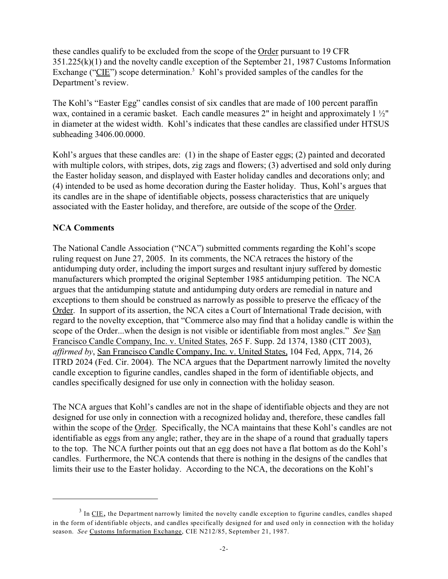these candles qualify to be excluded from the scope of the Order pursuant to 19 CFR 351.225(k)(1) and the novelty candle exception of the September 21, 1987 Customs Information Exchange (" $CIE$ ") scope determination.<sup>3</sup> Kohl's provided samples of the candles for the Department's review.

The Kohl's "Easter Egg" candles consist of six candles that are made of 100 percent paraffin wax, contained in a ceramic basket. Each candle measures 2" in height and approximately 1  $\frac{1}{2}$ " in diameter at the widest width. Kohl's indicates that these candles are classified under HTSUS subheading 3406.00.0000.

Kohl's argues that these candles are: (1) in the shape of Easter eggs; (2) painted and decorated with multiple colors, with stripes, dots, zig zags and flowers; (3) advertised and sold only during the Easter holiday season, and displayed with Easter holiday candles and decorations only; and (4) intended to be used as home decoration during the Easter holiday. Thus, Kohl's argues that its candles are in the shape of identifiable objects, possess characteristics that are uniquely associated with the Easter holiday, and therefore, are outside of the scope of the Order.

### **NCA Comments**

The National Candle Association ("NCA") submitted comments regarding the Kohl's scope ruling request on June 27, 2005. In its comments, the NCA retraces the history of the antidumping duty order, including the import surges and resultant injury suffered by domestic manufacturers which prompted the original September 1985 antidumping petition. The NCA argues that the antidumping statute and antidumping duty orders are remedial in nature and exceptions to them should be construed as narrowly as possible to preserve the efficacy of the Order. In support of its assertion, the NCA cites a Court of International Trade decision, with regard to the novelty exception, that "Commerce also may find that a holiday candle is within the scope of the Order...when the design is not visible or identifiable from most angles." *See* San Francisco Candle Company, Inc. v. United States, 265 F. Supp. 2d 1374, 1380 (CIT 2003), *affirmed by*, San Francisco Candle Company, Inc. v. United States, 104 Fed, Appx, 714, 26 ITRD 2024 (Fed. Cir. 2004). The NCA argues that the Department narrowly limited the novelty candle exception to figurine candles, candles shaped in the form of identifiable objects, and candles specifically designed for use only in connection with the holiday season.

The NCA argues that Kohl's candles are not in the shape of identifiable objects and they are not designed for use only in connection with a recognized holiday and, therefore, these candles fall within the scope of the Order. Specifically, the NCA maintains that these Kohl's candles are not identifiable as eggs from any angle; rather, they are in the shape of a round that gradually tapers to the top. The NCA further points out that an egg does not have a flat bottom as do the Kohl's candles. Furthermore, the NCA contends that there is nothing in the designs of the candles that limits their use to the Easter holiday. According to the NCA, the decorations on the Kohl's

 $3$  In <u>CIE</u>, the Department narrowly limited the novelty candle exception to figurine candles, candles shaped in the form of identifiable objects, and candles specifically designed for and used only in connection with the holiday season. *See* Customs Information Exchange, CIE N212/85, September 21, 1987.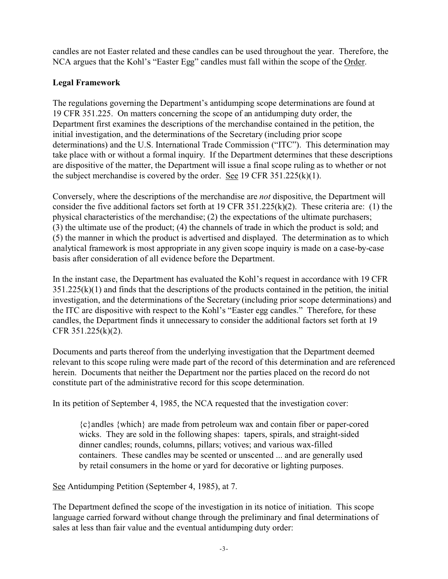candles are not Easter related and these candles can be used throughout the year. Therefore, the NCA argues that the Kohl's "Easter Egg" candles must fall within the scope of the Order.

# **Legal Framework**

The regulations governing the Department's antidumping scope determinations are found at 19 CFR 351.225. On matters concerning the scope of an antidumping duty order, the Department first examines the descriptions of the merchandise contained in the petition, the initial investigation, and the determinations of the Secretary (including prior scope determinations) and the U.S. International Trade Commission ("ITC"). This determination may take place with or without a formal inquiry. If the Department determines that these descriptions are dispositive of the matter, the Department will issue a final scope ruling as to whether or not the subject merchandise is covered by the order. See 19 CFR 351.225(k)(1).

Conversely, where the descriptions of the merchandise are *not* dispositive, the Department will consider the five additional factors set forth at 19 CFR 351.225(k)(2). These criteria are: (1) the physical characteristics of the merchandise; (2) the expectations of the ultimate purchasers; (3) the ultimate use of the product; (4) the channels of trade in which the product is sold; and (5) the manner in which the product is advertised and displayed. The determination as to which analytical framework is most appropriate in any given scope inquiry is made on a case-by-case basis after consideration of all evidence before the Department.

In the instant case, the Department has evaluated the Kohl's request in accordance with 19 CFR  $351.225(k)(1)$  and finds that the descriptions of the products contained in the petition, the initial investigation, and the determinations of the Secretary (including prior scope determinations) and the ITC are dispositive with respect to the Kohl's "Easter egg candles." Therefore, for these candles, the Department finds it unnecessary to consider the additional factors set forth at 19 CFR 351.225(k)(2).

Documents and parts thereof from the underlying investigation that the Department deemed relevant to this scope ruling were made part of the record of this determination and are referenced herein. Documents that neither the Department nor the parties placed on the record do not constitute part of the administrative record for this scope determination.

In its petition of September 4, 1985, the NCA requested that the investigation cover:

{c}andles {which} are made from petroleum wax and contain fiber or paper-cored wicks. They are sold in the following shapes: tapers, spirals, and straight-sided dinner candles; rounds, columns, pillars; votives; and various wax-filled containers. These candles may be scented or unscented ... and are generally used by retail consumers in the home or yard for decorative or lighting purposes.

See Antidumping Petition (September 4, 1985), at 7.

The Department defined the scope of the investigation in its notice of initiation. This scope language carried forward without change through the preliminary and final determinations of sales at less than fair value and the eventual antidumping duty order: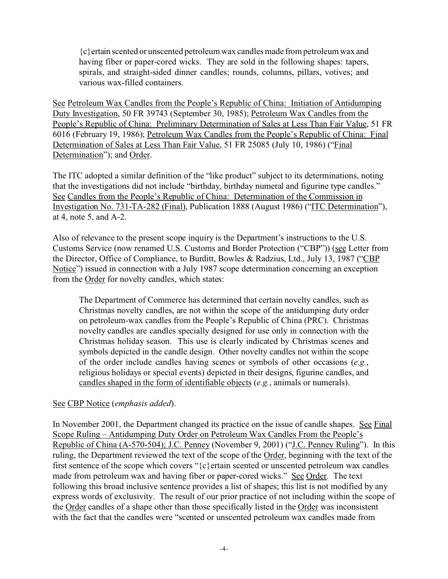{c}ertain scented or unscented petroleum wax candles made from petroleum wax and having fiber or paper-cored wicks. They are sold in the following shapes: tapers, spirals, and straight-sided dinner candles; rounds, columns, pillars, votives; and various wax-filled containers.

See Petroleum Wax Candles from the People's Republic of China: Initiation of Antidumping Duty Investigation, 50 FR 39743 (September 30, 1985); Petroleum Wax Candles from the People's Republic of China: Preliminary Determination of Sales at Less Than Fair Value, 51 FR 6016 (February 19, 1986); Petroleum Wax Candles from the People's Republic of China: Final Determination of Sales at Less Than Fair Value, 51 FR 25085 (July 10, 1986) ("Final Determination"); and Order.

The ITC adopted a similar definition of the "like product" subject to its determinations, noting that the investigations did not include "birthday, birthday numeral and figurine type candles." See Candles from the People's Republic of China: Determination of the Commission in Investigation No. 731-TA-282 (Final), Publication 1888 (August 1986) ("ITC Determination"), at 4, note 5, and A-2.

Also of relevance to the present scope inquiry is the Department's instructions to the U.S. Customs Service (now renamed U.S. Customs and Border Protection ("CBP")) (see Letter from the Director, Office of Compliance, to Burditt, Bowles & Radzius, Ltd., July 13, 1987 ("CBP Notice") issued in connection with a July 1987 scope determination concerning an exception from the Order for novelty candles, which states:

The Department of Commerce has determined that certain novelty candles, such as Christmas novelty candles, are not within the scope of the antidumping duty order on petroleum-wax candles from the People's Republic of China (PRC). Christmas novelty candles are candles specially designed for use only in connection with the Christmas holiday season. This use is clearly indicated by Christmas scenes and symbols depicted in the candle design. Other novelty candles not within the scope of the order include candles having scenes or symbols of other occasions (*e.g.*, religious holidays or special events) depicted in their designs, figurine candles, and candles shaped in the form of identifiable objects (*e.g.*, animals or numerals).

### See CBP Notice (*emphasis added*).

In November 2001, the Department changed its practice on the issue of candle shapes. See Final Scope Ruling – Antidumping Duty Order on Petroleum Wax Candles From the People's Republic of China (A-570-504); J.C. Penney (November 9, 2001) ("J.C. Penney Ruling"). In this ruling, the Department reviewed the text of the scope of the Order, beginning with the text of the first sentence of the scope which covers " $\{c\}$  ertain scented or unscented petroleum wax candles made from petroleum wax and having fiber or paper-cored wicks." See Order. The text following this broad inclusive sentence provides a list of shapes; this list is not modified by any express words of exclusivity. The result of our prior practice of not including within the scope of the Order candles of a shape other than those specifically listed in the Order was inconsistent with the fact that the candles were "scented or unscented petroleum wax candles made from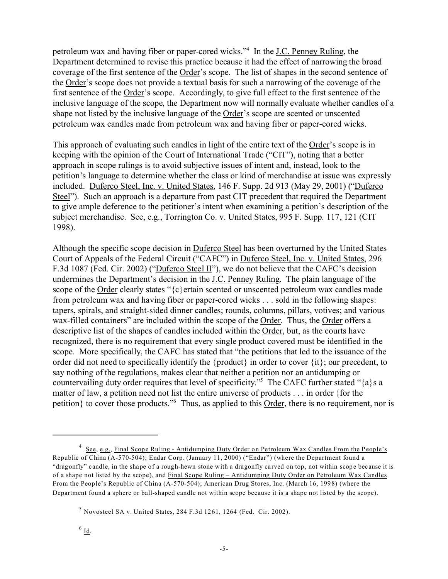petroleum wax and having fiber or paper-cored wicks."<sup>4</sup> In the J.C. Penney Ruling, the Department determined to revise this practice because it had the effect of narrowing the broad coverage of the first sentence of the Order's scope. The list of shapes in the second sentence of the Order's scope does not provide a textual basis for such a narrowing of the coverage of the first sentence of the Order's scope. Accordingly, to give full effect to the first sentence of the inclusive language of the scope, the Department now will normally evaluate whether candles of a shape not listed by the inclusive language of the Order's scope are scented or unscented petroleum wax candles made from petroleum wax and having fiber or paper-cored wicks.

This approach of evaluating such candles in light of the entire text of the Order's scope is in keeping with the opinion of the Court of International Trade ("CIT"), noting that a better approach in scope rulings is to avoid subjective issues of intent and, instead, look to the petition's language to determine whether the class or kind of merchandise at issue was expressly included. Duferco Steel, Inc. v. United States, 146 F. Supp. 2d 913 (May 29, 2001) ("Duferco Steel"). Such an approach is a departure from past CIT precedent that required the Department to give ample deference to the petitioner's intent when examining a petition's description of the subject merchandise. See, e.g., Torrington Co. v. United States, 995 F. Supp. 117, 121 (CIT) 1998).

Although the specific scope decision in Duferco Steel has been overturned by the United States Court of Appeals of the Federal Circuit ("CAFC") in Duferco Steel, Inc. v. United States, 296 F.3d 1087 (Fed. Cir. 2002) ("Duferco Steel II"), we do not believe that the CAFC's decision undermines the Department's decision in the J.C. Penney Ruling. The plain language of the scope of the Order clearly states "{c}ertain scented or unscented petroleum wax candles made from petroleum wax and having fiber or paper-cored wicks . . . sold in the following shapes: tapers, spirals, and straight-sided dinner candles; rounds, columns, pillars, votives; and various wax-filled containers" are included within the scope of the Order. Thus, the Order offers a descriptive list of the shapes of candles included within the Order, but, as the courts have recognized, there is no requirement that every single product covered must be identified in the scope. More specifically, the CAFC has stated that "the petitions that led to the issuance of the order did not need to specifically identify the {product} in order to cover {it}; our precedent, to say nothing of the regulations, makes clear that neither a petition nor an antidumping or countervailing duty order requires that level of specificity."<sup>5</sup> The CAFC further stated "{a}s a matter of law, a petition need not list the entire universe of products . . . in order {for the petition} to cover those products."<sup>6</sup> Thus, as applied to this Order, there is no requirement, nor is

<sup>&</sup>lt;sup>4</sup> See, e.g., Final Scope Ruling - Antidumping Duty Order on Petroleum Wax Candles From the People's Republic of China (A-570-504); Endar Corp. (January 11, 2000) ("Endar") (where the Department found a "dragonfly" candle, in the shape of a rough-hewn stone with a dragonfly carved on top, not within scope because it is of a shape not listed by the scope), and Final Scope Ruling – Antidumping Duty Order on Petroleum Wax Candles From the People's Republic of China (A-570-504); American Drug Stores, Inc. (March 16, 1998) (where the Department found a sphere or ball-shaped candle not within scope because it is a shape not listed by the scope).

 $<sup>5</sup>$  Novosteel SA v. United States, 284 F.3d 1261, 1264 (Fed. Cir. 2002).</sup>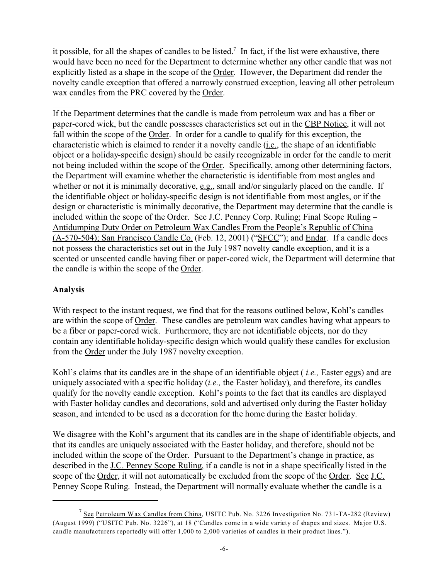it possible, for all the shapes of candles to be listed.<sup>7</sup> In fact, if the list were exhaustive, there would have been no need for the Department to determine whether any other candle that was not explicitly listed as a shape in the scope of the Order. However, the Department did render the novelty candle exception that offered a narrowly construed exception, leaving all other petroleum wax candles from the PRC covered by the Order.

If the Department determines that the candle is made from petroleum wax and has a fiber or paper-cored wick, but the candle possesses characteristics set out in the CBP Notice, it will not fall within the scope of the Order. In order for a candle to qualify for this exception, the characteristic which is claimed to render it a novelty candle (i.e., the shape of an identifiable object or a holiday-specific design) should be easily recognizable in order for the candle to merit not being included within the scope of the Order. Specifically, among other determining factors, the Department will examine whether the characteristic is identifiable from most angles and whether or not it is minimally decorative, e.g., small and/or singularly placed on the candle. If the identifiable object or holiday-specific design is not identifiable from most angles, or if the design or characteristic is minimally decorative, the Department may determine that the candle is included within the scope of the Order. See J.C. Penney Corp. Ruling; Final Scope Ruling – Antidumping Duty Order on Petroleum Wax Candles From the People's Republic of China (A-570-504); San Francisco Candle Co. (Feb. 12, 2001) ("SFCC"); and Endar. If a candle does not possess the characteristics set out in the July 1987 novelty candle exception, and it is a scented or unscented candle having fiber or paper-cored wick, the Department will determine that the candle is within the scope of the Order.

## **Analysis**

With respect to the instant request, we find that for the reasons outlined below, Kohl's candles are within the scope of Order. These candles are petroleum wax candles having what appears to be a fiber or paper-cored wick. Furthermore, they are not identifiable objects, nor do they contain any identifiable holiday-specific design which would qualify these candles for exclusion from the Order under the July 1987 novelty exception.

Kohl's claims that its candles are in the shape of an identifiable object ( *i.e.,* Easter eggs) and are uniquely associated with a specific holiday (*i.e.,* the Easter holiday), and therefore, its candles qualify for the novelty candle exception. Kohl's points to the fact that its candles are displayed with Easter holiday candles and decorations, sold and advertised only during the Easter holiday season, and intended to be used as a decoration for the home during the Easter holiday.

We disagree with the Kohl's argument that its candles are in the shape of identifiable objects, and that its candles are uniquely associated with the Easter holiday, and therefore, should not be included within the scope of the Order. Pursuant to the Department's change in practice, as described in the J.C. Penney Scope Ruling, if a candle is not in a shape specifically listed in the scope of the Order, it will not automatically be excluded from the scope of the Order. See J.C. Penney Scope Ruling. Instead, the Department will normally evaluate whether the candle is a

<sup>&</sup>lt;sup>7</sup> See Petroleum Wax Candles from China, USITC Pub. No. 3226 Investigation No. 731-TA-282 (Review) (August 1999) ("USITC Pub. No. 3226"), at 18 ("Candles come in a wide variety of shapes and sizes. Major U.S. candle manufacturers reportedly will offer 1,000 to 2,000 varieties of candles in their product lines.").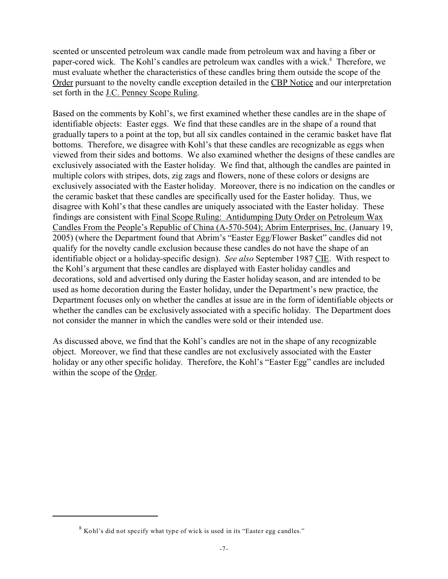scented or unscented petroleum wax candle made from petroleum wax and having a fiber or paper-cored wick. The Kohl's candles are petroleum wax candles with a wick.<sup>8</sup> Therefore, we must evaluate whether the characteristics of these candles bring them outside the scope of the Order pursuant to the novelty candle exception detailed in the CBP Notice and our interpretation set forth in the J.C. Penney Scope Ruling.

Based on the comments by Kohl's, we first examined whether these candles are in the shape of identifiable objects: Easter eggs. We find that these candles are in the shape of a round that gradually tapers to a point at the top, but all six candles contained in the ceramic basket have flat bottoms. Therefore, we disagree with Kohl's that these candles are recognizable as eggs when viewed from their sides and bottoms. We also examined whether the designs of these candles are exclusively associated with the Easter holiday. We find that, although the candles are painted in multiple colors with stripes, dots, zig zags and flowers, none of these colors or designs are exclusively associated with the Easter holiday. Moreover, there is no indication on the candles or the ceramic basket that these candles are specifically used for the Easter holiday. Thus, we disagree with Kohl's that these candles are uniquely associated with the Easter holiday. These findings are consistent with Final Scope Ruling: Antidumping Duty Order on Petroleum Wax Candles From the People's Republic of China (A-570-504); Abrim Enterprises, Inc. (January 19, 2005) (where the Department found that Abrim's "Easter Egg/Flower Basket" candles did not qualify for the novelty candle exclusion because these candles do not have the shape of an identifiable object or a holiday-specific design). *See also* September 1987 CIE.With respect to the Kohl's argument that these candles are displayed with Easter holiday candles and decorations, sold and advertised only during the Easter holiday season, and are intended to be used as home decoration during the Easter holiday, under the Department's new practice, the Department focuses only on whether the candles at issue are in the form of identifiable objects or whether the candles can be exclusively associated with a specific holiday. The Department does not consider the manner in which the candles were sold or their intended use.

As discussed above, we find that the Kohl's candles are not in the shape of any recognizable object. Moreover, we find that these candles are not exclusively associated with the Easter holiday or any other specific holiday. Therefore, the Kohl's "Easter Egg" candles are included within the scope of the Order.

<sup>8</sup> Kohl's did not specify what type of wick is used in its "Easter egg candles."